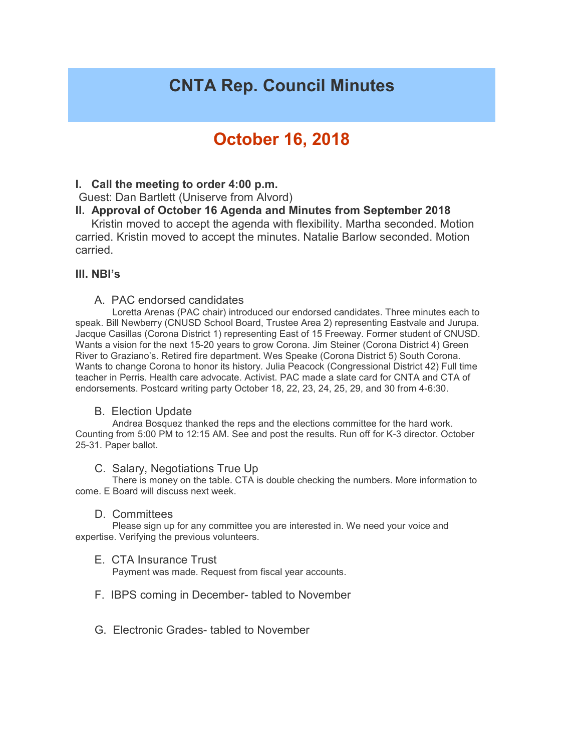# **CNTA Rep. Council Minutes**

# **October 16, 2018**

## **I. Call the meeting to order 4:00 p.m.**

Guest: Dan Bartlett (Uniserve from Alvord)

## **II. Approval of October 16 Agenda and Minutes from September 2018**

 Kristin moved to accept the agenda with flexibility. Martha seconded. Motion carried. Kristin moved to accept the minutes. Natalie Barlow seconded. Motion carried.

## **III. NBI's**

 A. PAC endorsed candidates Loretta Arenas (PAC chair) introduced our endorsed candidates. Three minutes each to speak. Bill Newberry (CNUSD School Board, Trustee Area 2) representing Eastvale and Jurupa. Jacque Casillas (Corona District 1) representing East of 15 Freeway. Former student of CNUSD. Wants a vision for the next 15-20 years to grow Corona. Jim Steiner (Corona District 4) Green River to Graziano's. Retired fire department. Wes Speake (Corona District 5) South Corona. Wants to change Corona to honor its history. Julia Peacock (Congressional District 42) Full time teacher in Perris. Health care advocate. Activist. PAC made a slate card for CNTA and CTA of endorsements. Postcard writing party October 18, 22, 23, 24, 25, 29, and 30 from 4-6:30.

B. Election Update<br>Andrea Bosquez thanked the reps and the elections committee for the hard work. Counting from 5:00 PM to 12:15 AM. See and post the results. Run off for K-3 director. October 25-31. Paper ballot.

 C. Salary, Negotiations True Up There is money on the table. CTA is double checking the numbers. More information to come. E Board will discuss next week.

D. Committees Committees<br>Please sign up for any committee you are interested in. We need your voice and expertise. Verifying the previous volunteers.

E. CTA Insurance Trust<br>Payment was made. Request from fiscal year accounts.

### F. IBPS coming in December- tabled to November

G. Electronic Grades- tabled to November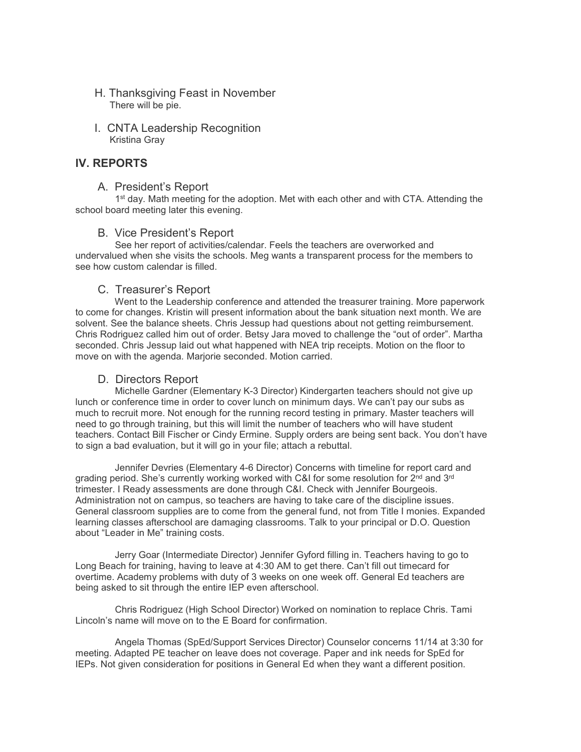- H. Thanksgiving Feast in November There will be pie.
- I. CNTA Leadership Recognition Kristina Gray

### **IV. REPORTS**

A. President's Report 1st day. Math meeting for the adoption. Met with each other and with CTA. Attending the school board meeting later this evening.

B. Vice President's Report<br>See her report of activities/calendar. Feels the teachers are overworked and undervalued when she visits the schools. Meg wants a transparent process for the members to see how custom calendar is filled.

 C. Treasurer's Report Went to the Leadership conference and attended the treasurer training. More paperwork to come for changes. Kristin will present information about the bank situation next month. We are solvent. See the balance sheets. Chris Jessup had questions about not getting reimbursement. Chris Rodriguez called him out of order. Betsy Jara moved to challenge the "out of order". Martha seconded. Chris Jessup laid out what happened with NEA trip receipts. Motion on the floor to move on with the agenda. Marjorie seconded. Motion carried.

D. Directors Report<br>Michelle Gardner (Elementary K-3 Director) Kindergarten teachers should not give up lunch or conference time in order to cover lunch on minimum days. We can't pay our subs as much to recruit more. Not enough for the running record testing in primary. Master teachers will need to go through training, but this will limit the number of teachers who will have student teachers. Contact Bill Fischer or Cindy Ermine. Supply orders are being sent back. You don't have to sign a bad evaluation, but it will go in your file; attach a rebuttal.

 Jennifer Devries (Elementary 4-6 Director) Concerns with timeline for report card and grading period. She's currently working worked with C&I for some resolution for 2<sup>nd</sup> and 3<sup>rd</sup> trimester. I Ready assessments are done through C&I. Check with Jennifer Bourgeois. Administration not on campus, so teachers are having to take care of the discipline issues. General classroom supplies are to come from the general fund, not from Title I monies. Expanded learning classes afterschool are damaging classrooms. Talk to your principal or D.O. Question about "Leader in Me" training costs.

 Jerry Goar (Intermediate Director) Jennifer Gyford filling in. Teachers having to go to Long Beach for training, having to leave at 4:30 AM to get there. Can't fill out timecard for overtime. Academy problems with duty of 3 weeks on one week off. General Ed teachers are being asked to sit through the entire IEP even afterschool.

 Chris Rodriguez (High School Director) Worked on nomination to replace Chris. Tami Lincoln's name will move on to the E Board for confirmation.

 Angela Thomas (SpEd/Support Services Director) Counselor concerns 11/14 at 3:30 for meeting. Adapted PE teacher on leave does not coverage. Paper and ink needs for SpEd for IEPs. Not given consideration for positions in General Ed when they want a different position.